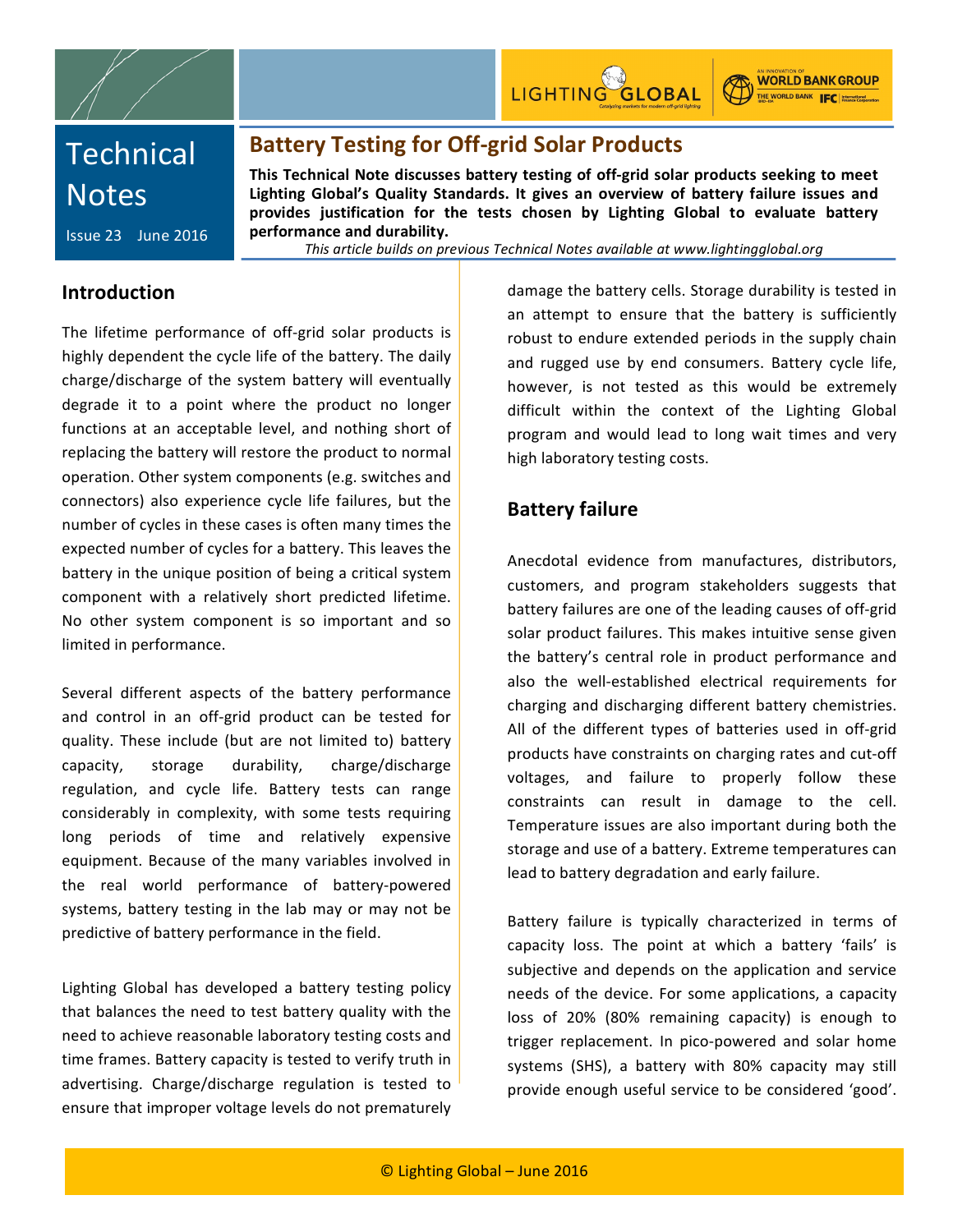

LIGHTING GLOBAL

**WORLD BANK GROUP** THE WORLD BANK **FC** International

# **Technical Notes**

Issue 23 June 2016

# **Battery Testing for Off-grid Solar Products**

This Technical Note discusses battery testing of off-grid solar products seeking to meet Lighting Global's Quality Standards. It gives an overview of battery failure issues and provides justification for the tests chosen by Lighting Global to evaluate battery performance and durability.

This article builds on previous Technical Notes available at www.lightingglobal.org

## **Introduction**

The lifetime performance of off-grid solar products is highly dependent the cycle life of the battery. The daily charge/discharge of the system battery will eventually degrade it to a point where the product no longer functions at an acceptable level, and nothing short of replacing the battery will restore the product to normal operation. Other system components (e.g. switches and connectors) also experience cycle life failures, but the number of cycles in these cases is often many times the expected number of cycles for a battery. This leaves the battery in the unique position of being a critical system component with a relatively short predicted lifetime. No other system component is so important and so limited in performance.

Several different aspects of the battery performance and control in an off-grid product can be tested for quality. These include (but are not limited to) battery capacity, storage durability, charge/discharge regulation, and cycle life. Battery tests can range considerably in complexity, with some tests requiring long periods of time and relatively expensive equipment. Because of the many variables involved in the real world performance of battery-powered systems, battery testing in the lab may or may not be predictive of battery performance in the field.

Lighting Global has developed a battery testing policy that balances the need to test battery quality with the need to achieve reasonable laboratory testing costs and time frames. Battery capacity is tested to verify truth in advertising. Charge/discharge regulation is tested to ensure that improper voltage levels do not prematurely

damage the battery cells. Storage durability is tested in an attempt to ensure that the battery is sufficiently robust to endure extended periods in the supply chain and rugged use by end consumers. Battery cycle life, however, is not tested as this would be extremely difficult within the context of the Lighting Global program and would lead to long wait times and very high laboratory testing costs.

## **Battery failure**

Anecdotal evidence from manufactures, distributors, customers, and program stakeholders suggests that battery failures are one of the leading causes of off-grid solar product failures. This makes intuitive sense given the battery's central role in product performance and also the well-established electrical requirements for charging and discharging different battery chemistries. All of the different types of batteries used in off-grid products have constraints on charging rates and cut-off voltages, and failure to properly follow these constraints can result in damage to the cell. Temperature issues are also important during both the storage and use of a battery. Extreme temperatures can lead to battery degradation and early failure.

Battery failure is typically characterized in terms of capacity loss. The point at which a battery 'fails' is subjective and depends on the application and service needs of the device. For some applications, a capacity loss of 20% (80% remaining capacity) is enough to trigger replacement. In pico-powered and solar home systems (SHS), a battery with 80% capacity may still provide enough useful service to be considered 'good'.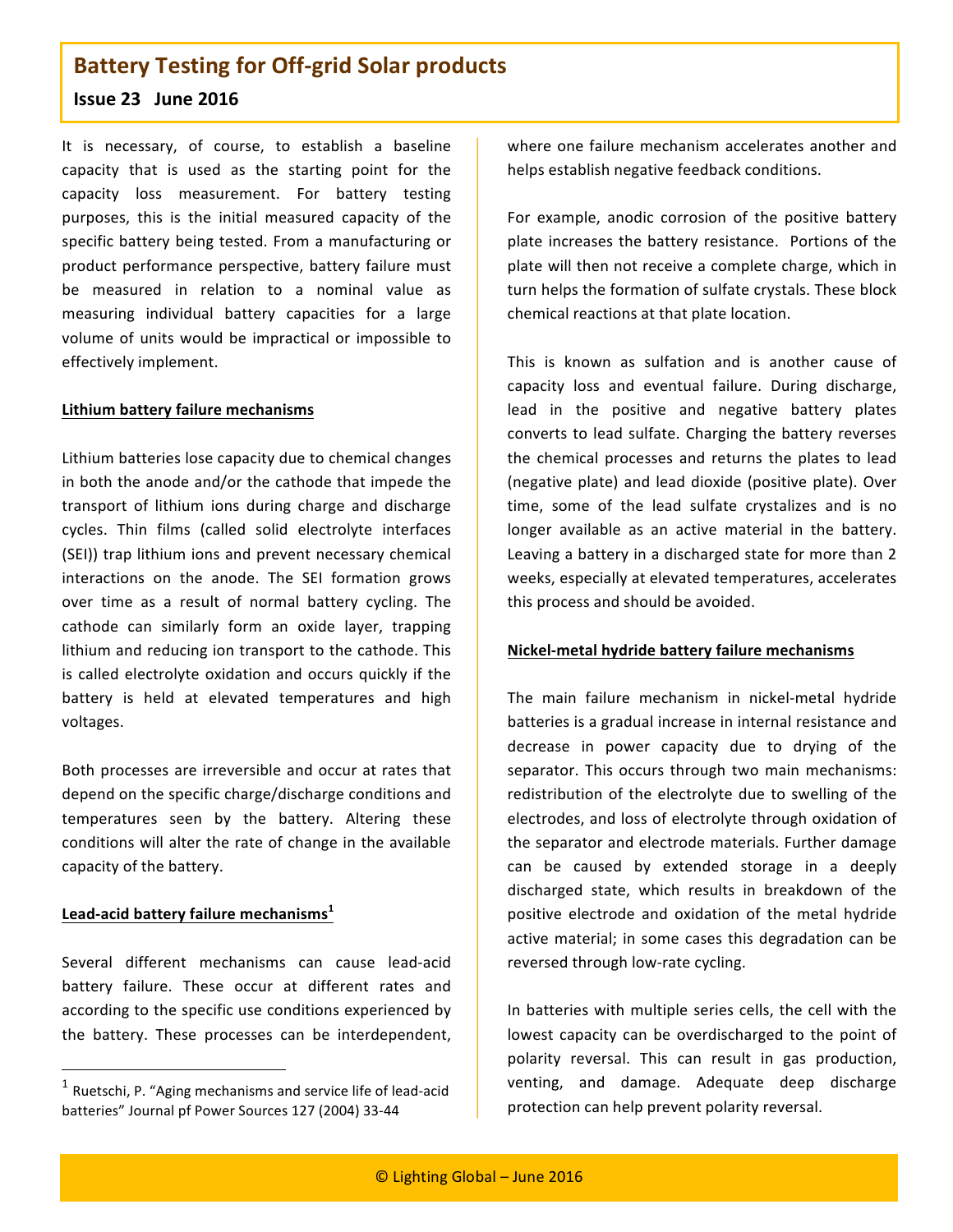## **Issue 23 June 2016**

It is necessary, of course, to establish a baseline capacity that is used as the starting point for the capacity loss measurement. For battery testing purposes, this is the initial measured capacity of the specific battery being tested. From a manufacturing or product performance perspective, battery failure must be measured in relation to a nominal value as measuring individual battery capacities for a large volume of units would be impractical or impossible to effectively implement.

#### **Lithium battery failure mechanisms**

Lithium batteries lose capacity due to chemical changes in both the anode and/or the cathode that impede the transport of lithium ions during charge and discharge cycles. Thin films (called solid electrolyte interfaces (SEI)) trap lithium ions and prevent necessary chemical interactions on the anode. The SEI formation grows over time as a result of normal battery cycling. The cathode can similarly form an oxide layer, trapping lithium and reducing ion transport to the cathode. This is called electrolyte oxidation and occurs quickly if the battery is held at elevated temperatures and high voltages. 

Both processes are irreversible and occur at rates that depend on the specific charge/discharge conditions and temperatures seen by the battery. Altering these conditions will alter the rate of change in the available capacity of the battery.

#### Lead-acid battery failure mechanisms<sup>1</sup>

 

Several different mechanisms can cause lead-acid battery failure. These occur at different rates and according to the specific use conditions experienced by the battery. These processes can be interdependent,

where one failure mechanism accelerates another and helps establish negative feedback conditions.

For example, anodic corrosion of the positive battery plate increases the battery resistance. Portions of the plate will then not receive a complete charge, which in turn helps the formation of sulfate crystals. These block chemical reactions at that plate location.

This is known as sulfation and is another cause of capacity loss and eventual failure. During discharge, lead in the positive and negative battery plates converts to lead sulfate. Charging the battery reverses the chemical processes and returns the plates to lead (negative plate) and lead dioxide (positive plate). Over time, some of the lead sulfate crystalizes and is no longer available as an active material in the battery. Leaving a battery in a discharged state for more than 2 weeks, especially at elevated temperatures, accelerates this process and should be avoided.

#### **Nickel-metal hydride battery failure mechanisms**

The main failure mechanism in nickel-metal hydride batteries is a gradual increase in internal resistance and decrease in power capacity due to drying of the separator. This occurs through two main mechanisms: redistribution of the electrolyte due to swelling of the electrodes, and loss of electrolyte through oxidation of the separator and electrode materials. Further damage can be caused by extended storage in a deeply discharged state, which results in breakdown of the positive electrode and oxidation of the metal hydride active material; in some cases this degradation can be reversed through low-rate cycling.

In batteries with multiple series cells, the cell with the lowest capacity can be overdischarged to the point of polarity reversal. This can result in gas production, venting, and damage. Adequate deep discharge protection can help prevent polarity reversal.

 $^1$  Ruetschi, P. "Aging mechanisms and service life of lead-acid batteries" Journal pf Power Sources 127 (2004) 33-44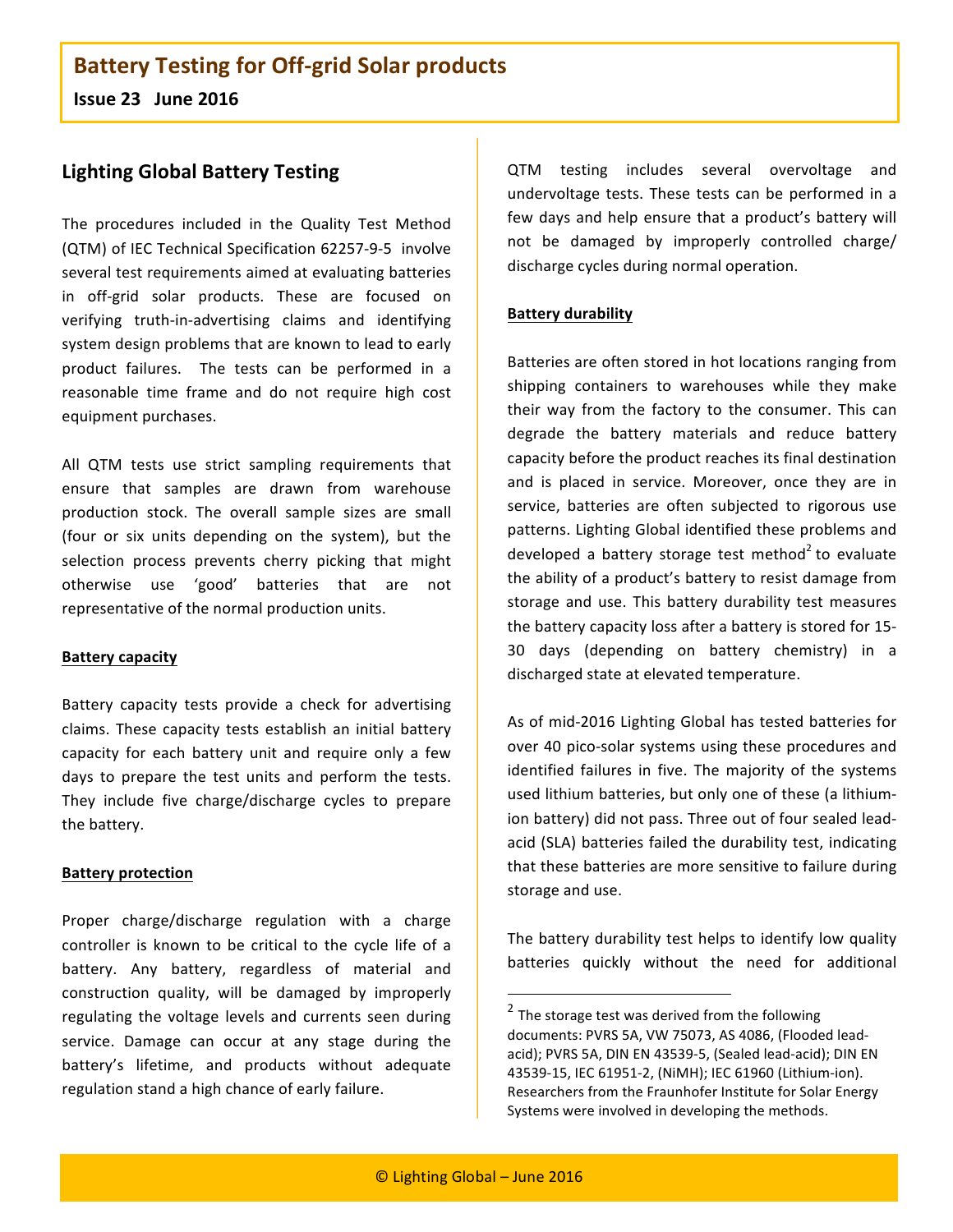**Issue 23 June 2016**

## **Lighting Global Battery Testing**

The procedures included in the Quality Test Method (QTM) of IEC Technical Specification 62257-9-5 involve several test requirements aimed at evaluating batteries in off-grid solar products. These are focused on verifying truth-in-advertising claims and identifying system design problems that are known to lead to early product failures. The tests can be performed in a reasonable time frame and do not require high cost equipment purchases.

All QTM tests use strict sampling requirements that ensure that samples are drawn from warehouse production stock. The overall sample sizes are small (four or six units depending on the system), but the selection process prevents cherry picking that might otherwise use 'good' batteries that are not representative of the normal production units.

#### **Battery capacity**

Battery capacity tests provide a check for advertising claims. These capacity tests establish an initial battery capacity for each battery unit and require only a few days to prepare the test units and perform the tests. They include five charge/discharge cycles to prepare the battery.

#### **Battery protection**

Proper charge/discharge regulation with a charge controller is known to be critical to the cycle life of a battery. Any battery, regardless of material and construction quality, will be damaged by improperly regulating the voltage levels and currents seen during service. Damage can occur at any stage during the battery's lifetime, and products without adequate regulation stand a high chance of early failure.

QTM testing includes several overvoltage and undervoltage tests. These tests can be performed in a few days and help ensure that a product's battery will not be damaged by improperly controlled charge/ discharge cycles during normal operation.

#### **Battery durability**

Batteries are often stored in hot locations ranging from shipping containers to warehouses while they make their way from the factory to the consumer. This can degrade the battery materials and reduce battery capacity before the product reaches its final destination and is placed in service. Moreover, once they are in service, batteries are often subjected to rigorous use patterns. Lighting Global identified these problems and developed a battery storage test method<sup>2</sup> to evaluate the ability of a product's battery to resist damage from storage and use. This battery durability test measures the battery capacity loss after a battery is stored for 15-30 days (depending on battery chemistry) in a discharged state at elevated temperature.

As of mid-2016 Lighting Global has tested batteries for over 40 pico-solar systems using these procedures and identified failures in five. The majority of the systems used lithium batteries, but only one of these (a lithiumion battery) did not pass. Three out of four sealed leadacid (SLA) batteries failed the durability test, indicating that these batteries are more sensitive to failure during storage and use.

The battery durability test helps to identify low quality batteries quickly without the need for additional

<u> 1989 - Johann Barn, mars ann an t-Amhain an t-Amhain an t-Amhain an t-Amhain an t-Amhain an t-Amhain an t-Amh</u>

 $2$  The storage test was derived from the following documents: PVRS 5A, VW 75073, AS 4086, (Flooded leadacid); PVRS 5A, DIN EN 43539-5, (Sealed lead-acid); DIN EN 43539-15, IEC 61951-2, (NiMH); IEC 61960 (Lithium-ion). Researchers from the Fraunhofer Institute for Solar Energy Systems were involved in developing the methods.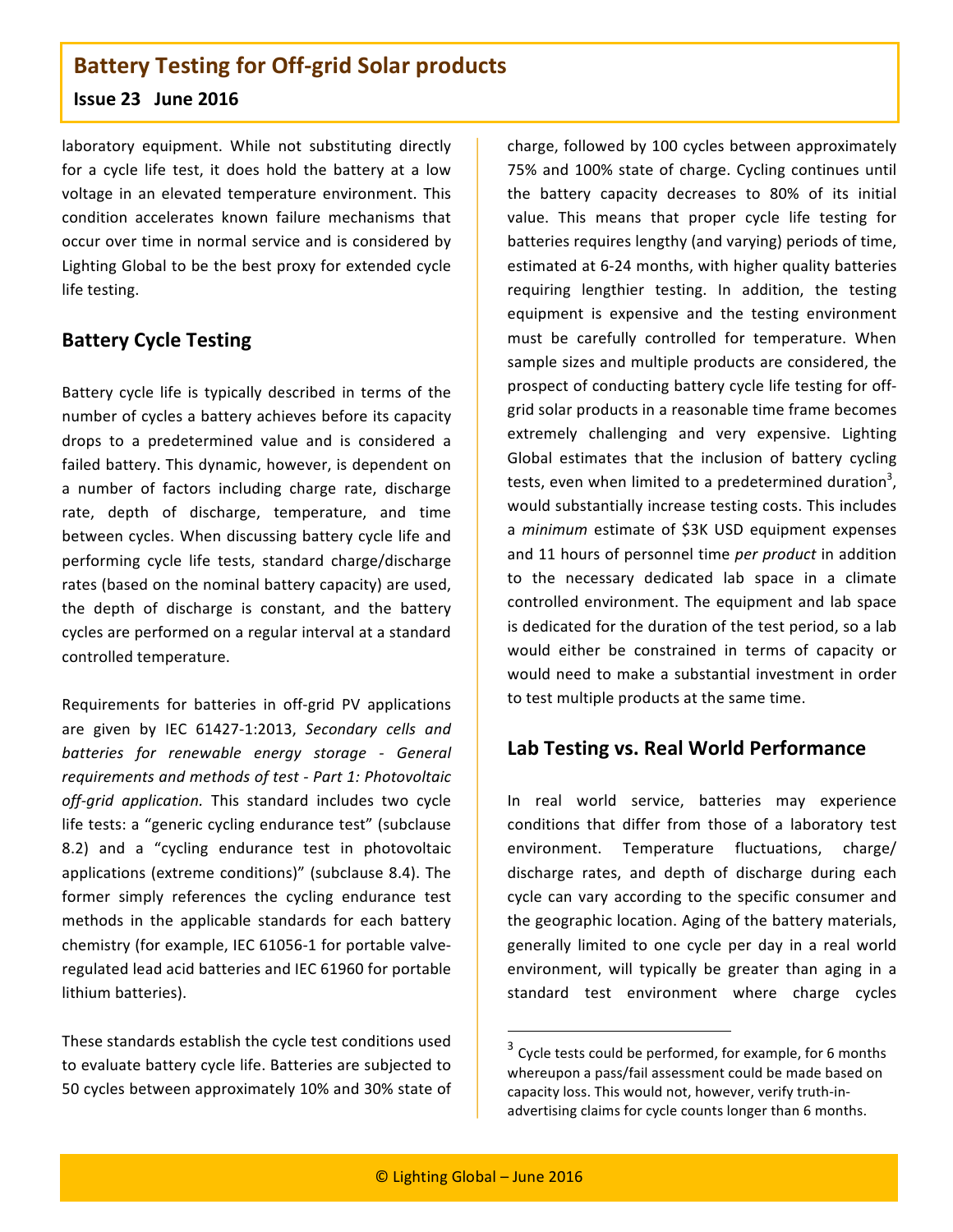### **Issue 23 June 2016**

laboratory equipment. While not substituting directly for a cycle life test, it does hold the battery at a low voltage in an elevated temperature environment. This condition accelerates known failure mechanisms that occur over time in normal service and is considered by Lighting Global to be the best proxy for extended cycle life testing.

## **Battery Cycle Testing**

Battery cycle life is typically described in terms of the number of cycles a battery achieves before its capacity drops to a predetermined value and is considered a failed battery. This dynamic, however, is dependent on a number of factors including charge rate, discharge rate, depth of discharge, temperature, and time between cycles. When discussing battery cycle life and performing cycle life tests, standard charge/discharge rates (based on the nominal battery capacity) are used, the depth of discharge is constant, and the battery cycles are performed on a regular interval at a standard controlled temperature.

Requirements for batteries in off-grid PV applications are given by IEC 61427-1:2013, *Secondary cells and batteries for renewable energy storage - General requirements and methods of test - Part 1: Photovoltaic* off-grid application. This standard includes two cycle life tests: a "generic cycling endurance test" (subclause 8.2) and a "cycling endurance test in photovoltaic applications (extreme conditions)" (subclause 8.4). The former simply references the cycling endurance test methods in the applicable standards for each battery chemistry (for example, IEC 61056-1 for portable valveregulated lead acid batteries and IEC 61960 for portable lithium batteries).

These standards establish the cycle test conditions used to evaluate battery cycle life. Batteries are subjected to 50 cycles between approximately 10% and 30% state of charge, followed by 100 cycles between approximately 75% and 100% state of charge. Cycling continues until the battery capacity decreases to 80% of its initial value. This means that proper cycle life testing for batteries requires lengthy (and varying) periods of time, estimated at 6-24 months, with higher quality batteries requiring lengthier testing. In addition, the testing equipment is expensive and the testing environment must be carefully controlled for temperature. When sample sizes and multiple products are considered, the prospect of conducting battery cycle life testing for offgrid solar products in a reasonable time frame becomes extremely challenging and very expensive. Lighting Global estimates that the inclusion of battery cycling tests, even when limited to a predetermined duration<sup>3</sup>, would substantially increase testing costs. This includes a *minimum* estimate of \$3K USD equipment expenses and 11 hours of personnel time per product in addition to the necessary dedicated lab space in a climate controlled environment. The equipment and lab space is dedicated for the duration of the test period, so a lab would either be constrained in terms of capacity or would need to make a substantial investment in order to test multiple products at the same time.

## **Lab Testing vs. Real World Performance**

In real world service, batteries may experience conditions that differ from those of a laboratory test environment. Temperature fluctuations, charge/ discharge rates, and depth of discharge during each cycle can vary according to the specific consumer and the geographic location. Aging of the battery materials, generally limited to one cycle per day in a real world environment, will typically be greater than aging in a standard test environment where charge cycles

<u> 1989 - Johann Barn, mars ann an t-Amhain an t-Amhain an t-Amhain an t-Amhain an t-Amhain an t-Amhain an t-Amh</u>

 $3$  Cycle tests could be performed, for example, for 6 months whereupon a pass/fail assessment could be made based on capacity loss. This would not, however, verify truth-inadvertising claims for cycle counts longer than 6 months.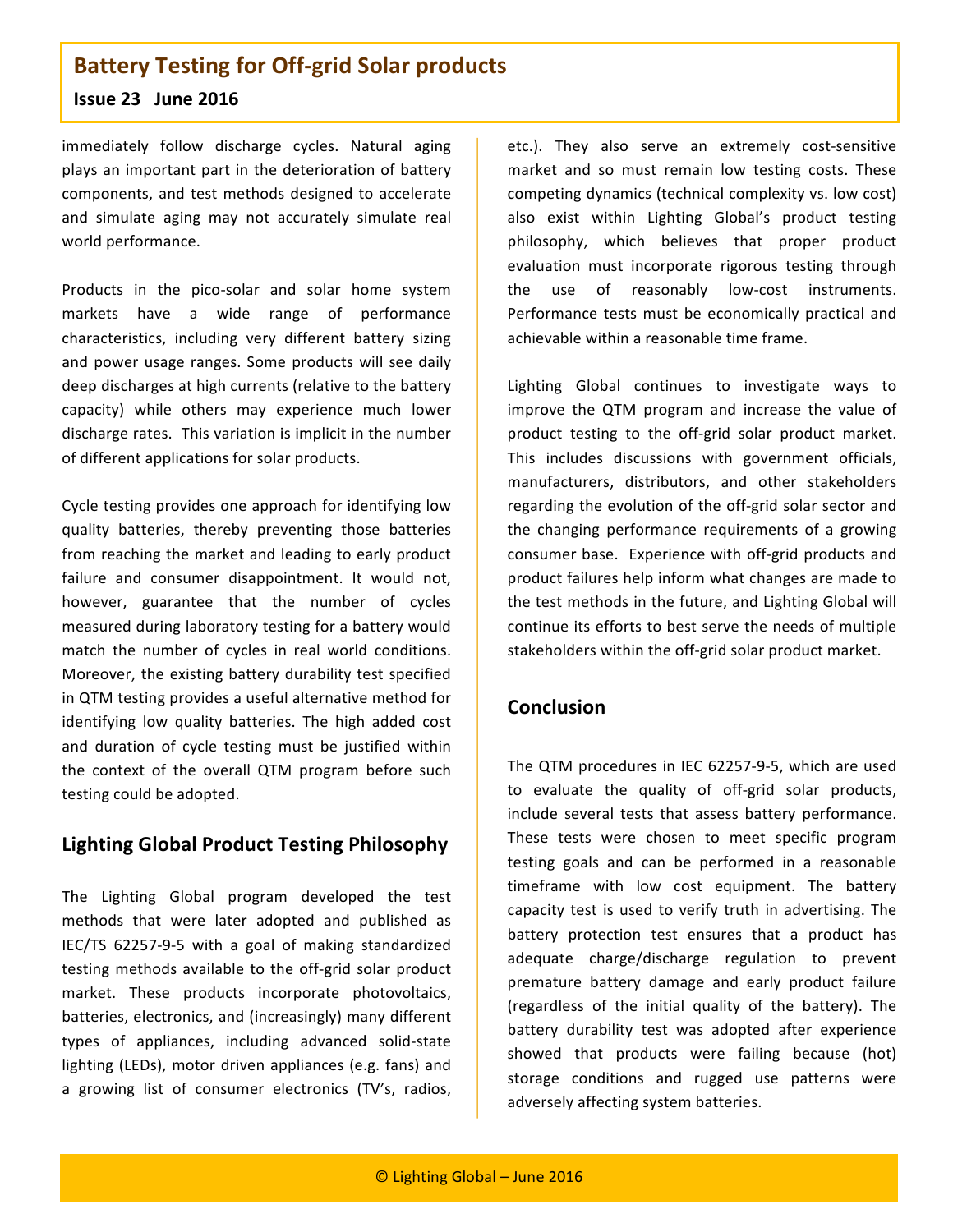### **Issue 23 June 2016**

immediately follow discharge cycles. Natural aging plays an important part in the deterioration of battery components, and test methods designed to accelerate and simulate aging may not accurately simulate real world performance.

Products in the pico-solar and solar home system markets have a wide range of performance characteristics, including very different battery sizing and power usage ranges. Some products will see daily deep discharges at high currents (relative to the battery capacity) while others may experience much lower discharge rates. This variation is implicit in the number of different applications for solar products.

Cycle testing provides one approach for identifying low quality batteries, thereby preventing those batteries from reaching the market and leading to early product failure and consumer disappointment. It would not, however, guarantee that the number of cycles measured during laboratory testing for a battery would match the number of cycles in real world conditions. Moreover, the existing battery durability test specified in QTM testing provides a useful alternative method for identifying low quality batteries. The high added cost and duration of cycle testing must be justified within the context of the overall QTM program before such testing could be adopted.

## **Lighting Global Product Testing Philosophy**

The Lighting Global program developed the test methods that were later adopted and published as IEC/TS 62257-9-5 with a goal of making standardized testing methods available to the off-grid solar product market. These products incorporate photovoltaics, batteries, electronics, and (increasingly) many different types of appliances, including advanced solid-state lighting (LEDs), motor driven appliances (e.g. fans) and a growing list of consumer electronics (TV's, radios,

etc.). They also serve an extremely cost-sensitive market and so must remain low testing costs. These competing dynamics (technical complexity vs. low cost) also exist within Lighting Global's product testing philosophy, which believes that proper product evaluation must incorporate rigorous testing through the use of reasonably low-cost instruments. Performance tests must be economically practical and achievable within a reasonable time frame.

Lighting Global continues to investigate ways to improve the QTM program and increase the value of product testing to the off-grid solar product market. This includes discussions with government officials, manufacturers, distributors, and other stakeholders regarding the evolution of the off-grid solar sector and the changing performance requirements of a growing consumer base. Experience with off-grid products and product failures help inform what changes are made to the test methods in the future, and Lighting Global will continue its efforts to best serve the needs of multiple stakeholders within the off-grid solar product market.

## **Conclusion**

The QTM procedures in IEC 62257-9-5, which are used to evaluate the quality of off-grid solar products, include several tests that assess battery performance. These tests were chosen to meet specific program testing goals and can be performed in a reasonable timeframe with low cost equipment. The battery capacity test is used to verify truth in advertising. The battery protection test ensures that a product has adequate charge/discharge regulation to prevent premature battery damage and early product failure (regardless of the initial quality of the battery). The battery durability test was adopted after experience showed that products were failing because (hot) storage conditions and rugged use patterns were adversely affecting system batteries.